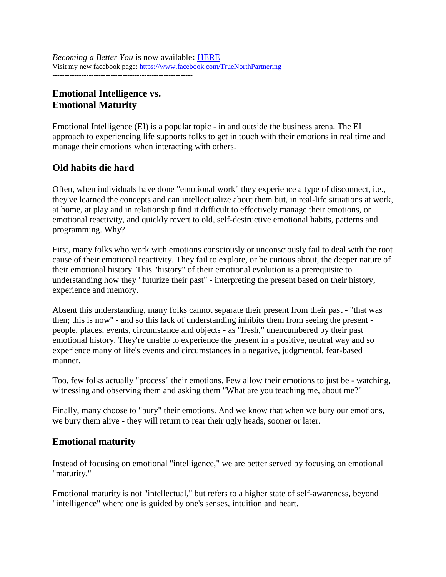*Becoming a Better You* is now available**:** [HERE](http://www.truenorthpartnering.com/becoming-a-better-you) Visit my new facebook page[: https://www.facebook.com/TrueNorthPartnering](https://www.facebook.com/TrueNorthPartnering) ----------------------------------------------------------

## **Emotional Intelligence vs. Emotional Maturity**

Emotional Intelligence (EI) is a popular topic - in and outside the business arena. The EI approach to experiencing life supports folks to get in touch with their emotions in real time and manage their emotions when interacting with others.

# **Old habits die hard**

Often, when individuals have done "emotional work" they experience a type of disconnect, i.e., they've learned the concepts and can intellectualize about them but, in real-life situations at work, at home, at play and in relationship find it difficult to effectively manage their emotions, or emotional reactivity, and quickly revert to old, self-destructive emotional habits, patterns and programming. Why?

First, many folks who work with emotions consciously or unconsciously fail to deal with the root cause of their emotional reactivity. They fail to explore, or be curious about, the deeper nature of their emotional history. This "history" of their emotional evolution is a prerequisite to understanding how they "futurize their past" - interpreting the present based on their history, experience and memory.

Absent this understanding, many folks cannot separate their present from their past - "that was then; this is now" - and so this lack of understanding inhibits them from seeing the present people, places, events, circumstance and objects - as "fresh," unencumbered by their past emotional history. They're unable to experience the present in a positive, neutral way and so experience many of life's events and circumstances in a negative, judgmental, fear-based manner.

Too, few folks actually "process" their emotions. Few allow their emotions to just be - watching, witnessing and observing them and asking them "What are you teaching me, about me?"

Finally, many choose to "bury" their emotions. And we know that when we bury our emotions, we bury them alive - they will return to rear their ugly heads, sooner or later.

## **Emotional maturity**

Instead of focusing on emotional "intelligence," we are better served by focusing on emotional "maturity."

Emotional maturity is not "intellectual," but refers to a higher state of self-awareness, beyond "intelligence" where one is guided by one's senses, intuition and heart.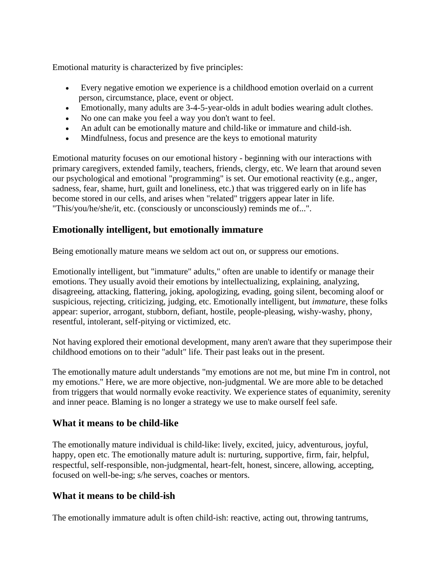Emotional maturity is characterized by five principles:

- Every negative emotion we experience is a childhood emotion overlaid on a current person, circumstance, place, event or object.
- Emotionally, many adults are 3-4-5-year-olds in adult bodies wearing adult clothes.
- No one can make you feel a way you don't want to feel.
- An adult can be emotionally mature and child-like or immature and child-ish.
- Mindfulness, focus and presence are the keys to emotional maturity

Emotional maturity focuses on our emotional history - beginning with our interactions with primary caregivers, extended family, teachers, friends, clergy, etc. We learn that around seven our psychological and emotional "programming" is set. Our emotional reactivity (e.g., anger, sadness, fear, shame, hurt, guilt and loneliness, etc.) that was triggered early on in life has become stored in our cells, and arises when "related" triggers appear later in life. "This/you/he/she/it, etc. (consciously or unconsciously) reminds me of...".

### **Emotionally intelligent, but emotionally immature**

Being emotionally mature means we seldom act out on, or suppress our emotions.

Emotionally intelligent, but "immature" adults," often are unable to identify or manage their emotions. They usually avoid their emotions by intellectualizing, explaining, analyzing, disagreeing, attacking, flattering, joking, apologizing, evading, going silent, becoming aloof or suspicious, rejecting, criticizing, judging, etc. Emotionally intelligent, but *immature*, these folks appear: superior, arrogant, stubborn, defiant, hostile, people-pleasing, wishy-washy, phony, resentful, intolerant, self-pitying or victimized, etc.

Not having explored their emotional development, many aren't aware that they superimpose their childhood emotions on to their "adult" life. Their past leaks out in the present.

The emotionally mature adult understands "my emotions are not me, but mine I'm in control, not my emotions." Here, we are more objective, non-judgmental. We are more able to be detached from triggers that would normally evoke reactivity. We experience states of equanimity, serenity and inner peace. Blaming is no longer a strategy we use to make ourself feel safe.

### **What it means to be child-like**

The emotionally mature individual is child-like: lively, excited, juicy, adventurous, joyful, happy, open etc. The emotionally mature adult is: nurturing, supportive, firm, fair, helpful, respectful, self-responsible, non-judgmental, heart-felt, honest, sincere, allowing, accepting, focused on well-be-ing; s/he serves, coaches or mentors.

### **What it means to be child-ish**

The emotionally immature adult is often child-ish: reactive, acting out, throwing tantrums,